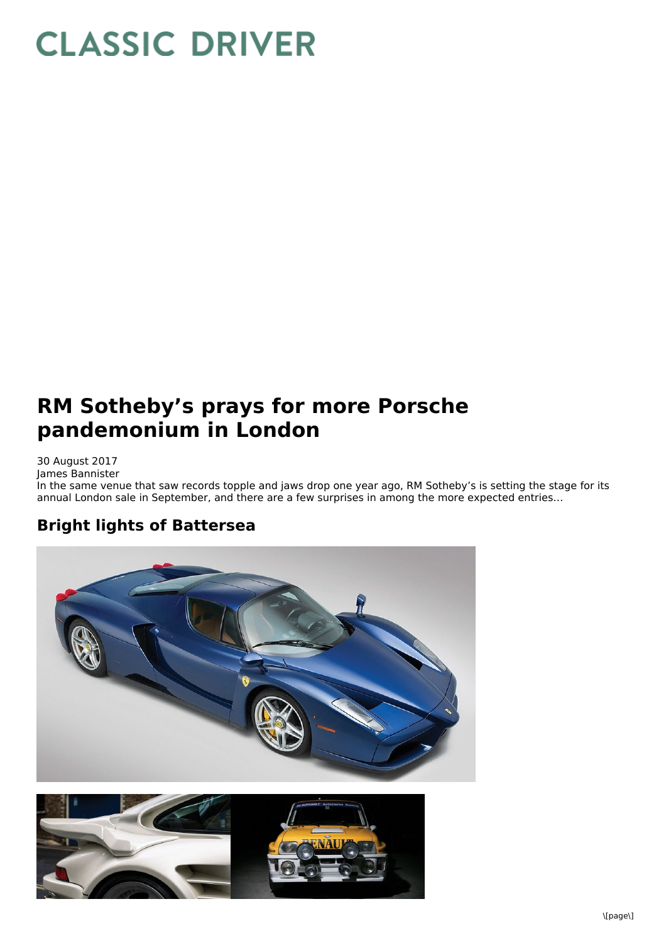## **CLASSIC DRIVER**

## **RM Sotheby's prays for more Porsche pandemonium in London**

30 August 2017 James Bannister In the same venue that saw records topple and jaws drop one year ago, RM Sotheby's is setting the stage for its annual London sale in September, and there are a few surprises in among the more expected entries…

## **Bright lights of Battersea**